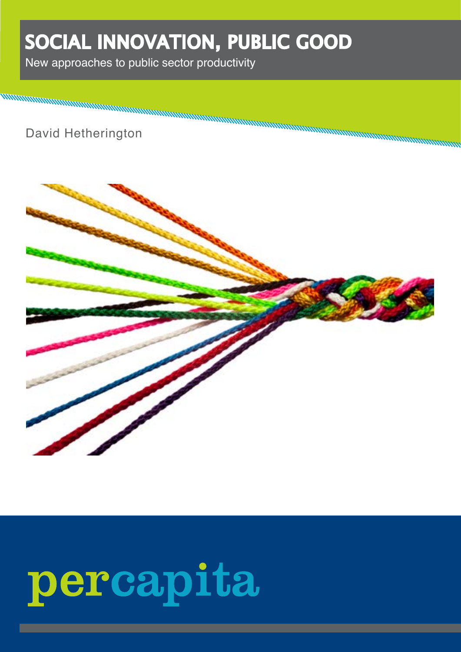## SOCIAL INNOVATION, PUBLIC GOOD

New approaches to public sector productivity

David Hetherington



# percapita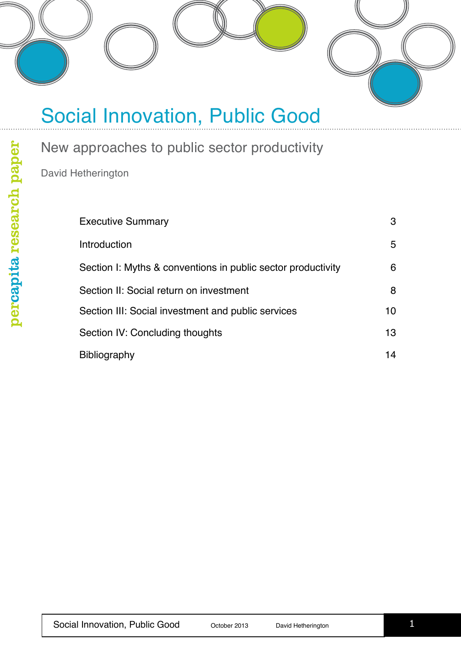

New approaches to public sector productivity

David Hetherington

| <b>Executive Summary</b>                                     | 3  |
|--------------------------------------------------------------|----|
| Introduction                                                 | 5  |
| Section I: Myths & conventions in public sector productivity | 6  |
| Section II: Social return on investment                      | 8  |
| Section III: Social investment and public services           | 10 |
| Section IV: Concluding thoughts                              | 13 |
| <b>Bibliography</b>                                          | 14 |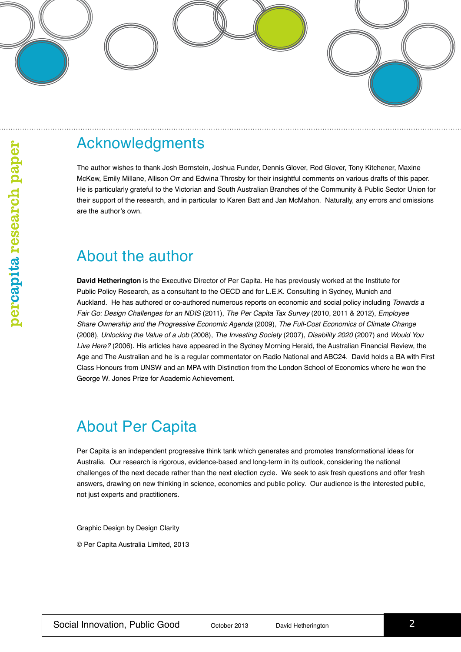

#### Acknowledgments

The author wishes to thank Josh Bornstein, Joshua Funder, Dennis Glover, Rod Glover, Tony Kitchener, Maxine McKew, Emily Millane, Allison Orr and Edwina Throsby for their insightful comments on various drafts of this paper. He is particularly grateful to the Victorian and South Australian Branches of the Community & Public Sector Union for their support of the research, and in particular to Karen Batt and Jan McMahon. Naturally, any errors and omissions are the author's own.

#### About the author

**David Hetherington** is the Executive Director of Per Capita. He has previously worked at the Institute for Public Policy Research, as a consultant to the OECD and for L.E.K. Consulting in Sydney, Munich and Auckland. He has authored or co-authored numerous reports on economic and social policy including *Towards a Fair Go: Design Challenges for an NDIS* (2011), *The Per Capita Tax Survey* (2010, 2011 & 2012), *Employee Share Ownership and the Progressive Economic Agenda* (2009), *The Full-Cost Economics of Climate Change* (2008), *Unlocking the Value of a Job* (2008), *The Investing Society* (2007), *Disability 2020* (2007) and *Would You Live Here?* (2006). His articles have appeared in the Sydney Morning Herald, the Australian Financial Review, the Age and The Australian and he is a regular commentator on Radio National and ABC24. David holds a BA with First Class Honours from UNSW and an MPA with Distinction from the London School of Economics where he won the George W. Jones Prize for Academic Achievement.

### About Per Capita

Per Capita is an independent progressive think tank which generates and promotes transformational ideas for Australia. Our research is rigorous, evidence-based and long-term in its outlook, considering the national challenges of the next decade rather than the next election cycle. We seek to ask fresh questions and offer fresh answers, drawing on new thinking in science, economics and public policy. Our audience is the interested public, not just experts and practitioners.

Graphic Design by Design Clarity

© Per Capita Australia Limited, 2013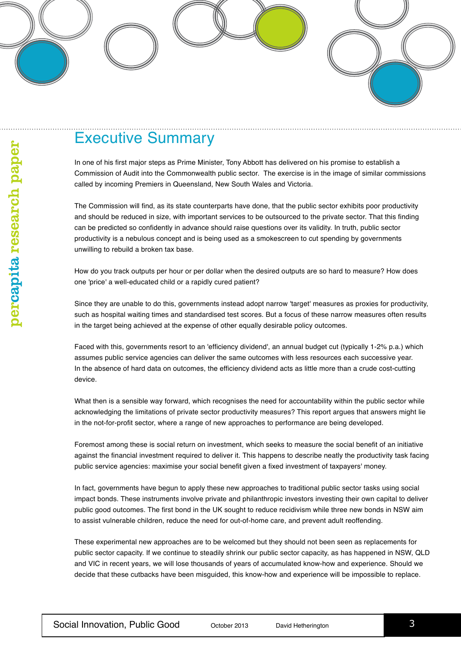#### Executive Summary

In one of his first major steps as Prime Minister, Tony Abbott has delivered on his promise to establish a Commission of Audit into the Commonwealth public sector. The exercise is in the image of similar commissions called by incoming Premiers in Queensland, New South Wales and Victoria.

The Commission will find, as its state counterparts have done, that the public sector exhibits poor productivity and should be reduced in size, with important services to be outsourced to the private sector. That this finding can be predicted so confidently in advance should raise questions over its validity. In truth, public sector productivity is a nebulous concept and is being used as a smokescreen to cut spending by governments unwilling to rebuild a broken tax base.

How do you track outputs per hour or per dollar when the desired outputs are so hard to measure? How does one 'price' a well-educated child or a rapidly cured patient?

Since they are unable to do this, governments instead adopt narrow 'target' measures as proxies for productivity, such as hospital waiting times and standardised test scores. But a focus of these narrow measures often results in the target being achieved at the expense of other equally desirable policy outcomes.

Faced with this, governments resort to an 'efficiency dividend', an annual budget cut (typically 1-2% p.a.) which assumes public service agencies can deliver the same outcomes with less resources each successive year. In the absence of hard data on outcomes, the efficiency dividend acts as little more than a crude cost-cutting device.

What then is a sensible way forward, which recognises the need for accountability within the public sector while acknowledging the limitations of private sector productivity measures? This report argues that answers might lie in the not-for-profit sector, where a range of new approaches to performance are being developed.

Foremost among these is social return on investment, which seeks to measure the social benefit of an initiative against the financial investment required to deliver it. This happens to describe neatly the productivity task facing public service agencies: maximise your social benefit given a fixed investment of taxpayers' money.

In fact, governments have begun to apply these new approaches to traditional public sector tasks using social impact bonds. These instruments involve private and philanthropic investors investing their own capital to deliver public good outcomes. The first bond in the UK sought to reduce recidivism while three new bonds in NSW aim to assist vulnerable children, reduce the need for out-of-home care, and prevent adult reoffending.

These experimental new approaches are to be welcomed but they should not been seen as replacements for public sector capacity. If we continue to steadily shrink our public sector capacity, as has happened in NSW, QLD and VIC in recent years, we will lose thousands of years of accumulated know-how and experience. Should we decide that these cutbacks have been misguided, this know-how and experience will be impossible to replace.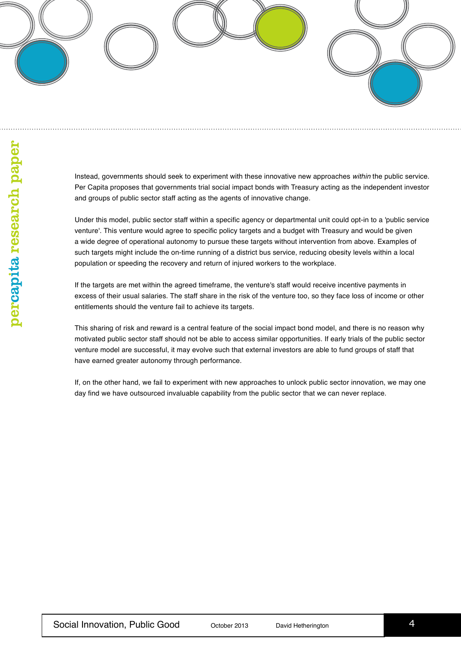Instead, governments should seek to experiment with these innovative new approaches *within* the public service. Per Capita proposes that governments trial social impact bonds with Treasury acting as the independent investor and groups of public sector staff acting as the agents of innovative change.

Under this model, public sector staff within a specific agency or departmental unit could opt-in to a 'public service venture'. This venture would agree to specific policy targets and a budget with Treasury and would be given a wide degree of operational autonomy to pursue these targets without intervention from above. Examples of such targets might include the on-time running of a district bus service, reducing obesity levels within a local population or speeding the recovery and return of injured workers to the workplace.

If the targets are met within the agreed timeframe, the venture's staff would receive incentive payments in excess of their usual salaries. The staff share in the risk of the venture too, so they face loss of income or other entitlements should the venture fail to achieve its targets.

This sharing of risk and reward is a central feature of the social impact bond model, and there is no reason why motivated public sector staff should not be able to access similar opportunities. If early trials of the public sector venture model are successful, it may evolve such that external investors are able to fund groups of staff that have earned greater autonomy through performance.

If, on the other hand, we fail to experiment with new approaches to unlock public sector innovation, we may one day find we have outsourced invaluable capability from the public sector that we can never replace.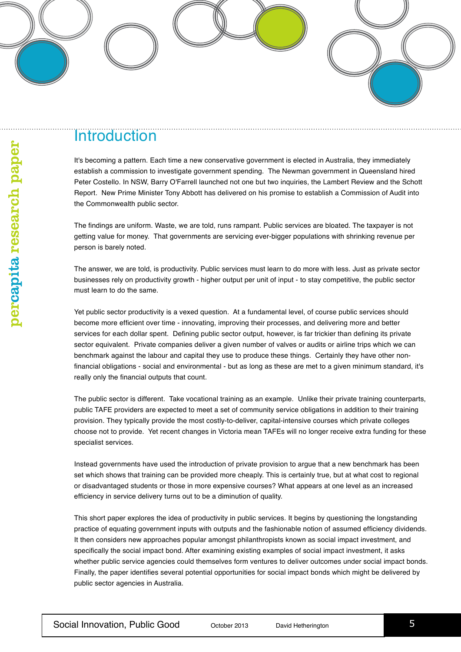#### **Introduction**

It's becoming a pattern. Each time a new conservative government is elected in Australia, they immediately establish a commission to investigate government spending. The Newman government in Queensland hired Peter Costello. In NSW, Barry O'Farrell launched not one but two inquiries, the Lambert Review and the Schott Report. New Prime Minister Tony Abbott has delivered on his promise to establish a Commission of Audit into the Commonwealth public sector.

The findings are uniform. Waste, we are told, runs rampant. Public services are bloated. The taxpayer is not getting value for money. That governments are servicing ever-bigger populations with shrinking revenue per person is barely noted.

The answer, we are told, is productivity. Public services must learn to do more with less. Just as private sector businesses rely on productivity growth - higher output per unit of input - to stay competitive, the public sector must learn to do the same.

Yet public sector productivity is a vexed question. At a fundamental level, of course public services should become more efficient over time - innovating, improving their processes, and delivering more and better services for each dollar spent. Defining public sector output, however, is far trickier than defining its private sector equivalent. Private companies deliver a given number of valves or audits or airline trips which we can benchmark against the labour and capital they use to produce these things. Certainly they have other nonfinancial obligations - social and environmental - but as long as these are met to a given minimum standard, it's really only the financial outputs that count.

The public sector is different. Take vocational training as an example. Unlike their private training counterparts, public TAFE providers are expected to meet a set of community service obligations in addition to their training provision. They typically provide the most costly-to-deliver, capital-intensive courses which private colleges choose not to provide. Yet recent changes in Victoria mean TAFEs will no longer receive extra funding for these specialist services.

Instead governments have used the introduction of private provision to argue that a new benchmark has been set which shows that training can be provided more cheaply. This is certainly true, but at what cost to regional or disadvantaged students or those in more expensive courses? What appears at one level as an increased efficiency in service delivery turns out to be a diminution of quality.

This short paper explores the idea of productivity in public services. It begins by questioning the longstanding practice of equating government inputs with outputs and the fashionable notion of assumed efficiency dividends. It then considers new approaches popular amongst philanthropists known as social impact investment, and specifically the social impact bond. After examining existing examples of social impact investment, it asks whether public service agencies could themselves form ventures to deliver outcomes under social impact bonds. Finally, the paper identifies several potential opportunities for social impact bonds which might be delivered by public sector agencies in Australia.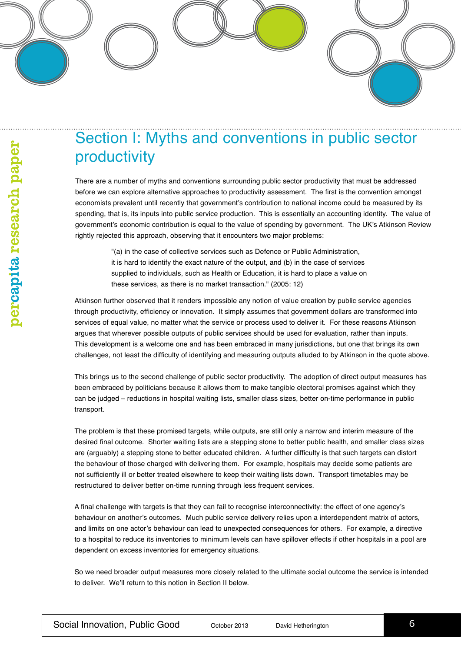#### Section I: Myths and conventions in public sector productivity

There are a number of myths and conventions surrounding public sector productivity that must be addressed before we can explore alternative approaches to productivity assessment. The first is the convention amongst economists prevalent until recently that government's contribution to national income could be measured by its spending, that is, its inputs into public service production. This is essentially an accounting identity. The value of government's economic contribution is equal to the value of spending by government. The UK's Atkinson Review rightly rejected this approach, observing that it encounters two major problems:

"(a) in the case of collective services such as Defence or Public Administration, it is hard to identify the exact nature of the output, and (b) in the case of services supplied to individuals, such as Health or Education, it is hard to place a value on these services, as there is no market transaction." (2005: 12)

Atkinson further observed that it renders impossible any notion of value creation by public service agencies through productivity, efficiency or innovation. It simply assumes that government dollars are transformed into services of equal value, no matter what the service or process used to deliver it. For these reasons Atkinson argues that wherever possible outputs of public services should be used for evaluation, rather than inputs. This development is a welcome one and has been embraced in many jurisdictions, but one that brings its own challenges, not least the difficulty of identifying and measuring outputs alluded to by Atkinson in the quote above.

This brings us to the second challenge of public sector productivity. The adoption of direct output measures has been embraced by politicians because it allows them to make tangible electoral promises against which they can be judged – reductions in hospital waiting lists, smaller class sizes, better on-time performance in public transport.

The problem is that these promised targets, while outputs, are still only a narrow and interim measure of the desired final outcome. Shorter waiting lists are a stepping stone to better public health, and smaller class sizes are (arguably) a stepping stone to better educated children. A further difficulty is that such targets can distort the behaviour of those charged with delivering them. For example, hospitals may decide some patients are not sufficiently ill or better treated elsewhere to keep their waiting lists down. Transport timetables may be restructured to deliver better on-time running through less frequent services.

A final challenge with targets is that they can fail to recognise interconnectivity: the effect of one agency's behaviour on another's outcomes. Much public service delivery relies upon a interdependent matrix of actors, and limits on one actor's behaviour can lead to unexpected consequences for others. For example, a directive to a hospital to reduce its inventories to minimum levels can have spillover effects if other hospitals in a pool are dependent on excess inventories for emergency situations.

So we need broader output measures more closely related to the ultimate social outcome the service is intended to deliver. We'll return to this notion in Section II below.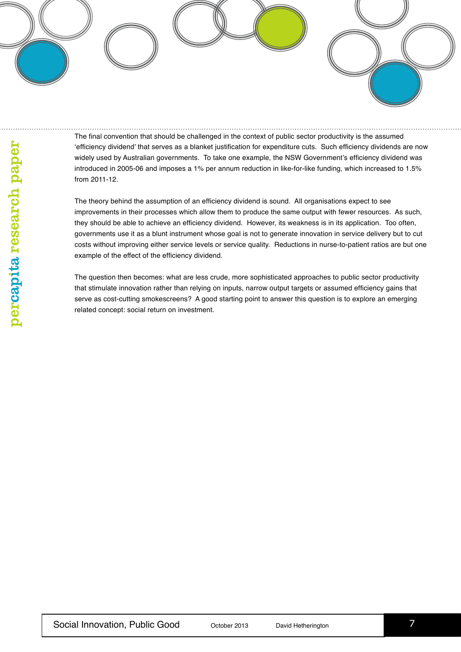The final convention that should be challenged in the context of public sector productivity is the assumed 'efficiency dividend' that serves as a blanket justification for expenditure cuts. Such efficiency dividends are now widely used by Australian governments. To take one example, the NSW Government's efficiency dividend was introduced in 2005-06 and imposes a 1% per annum reduction in like-for-like funding, which increased to 1.5% from 2011-12.

The theory behind the assumption of an efficiency dividend is sound. All organisations expect to see improvements in their processes which allow them to produce the same output with fewer resources. As such, they should be able to achieve an efficiency dividend. However, its weakness is in its application. Too often, governments use it as a blunt instrument whose goal is not to generate innovation in service delivery but to cut costs without improving either service levels or service quality. Reductions in nurse-to-patient ratios are but one example of the effect of the efficiency dividend.

The question then becomes: what are less crude, more sophisticated approaches to public sector productivity that stimulate innovation rather than relying on inputs, narrow output targets or assumed efficiency gains that serve as cost-cutting smokescreens? A good starting point to answer this question is to explore an emerging related concept: social return on investment.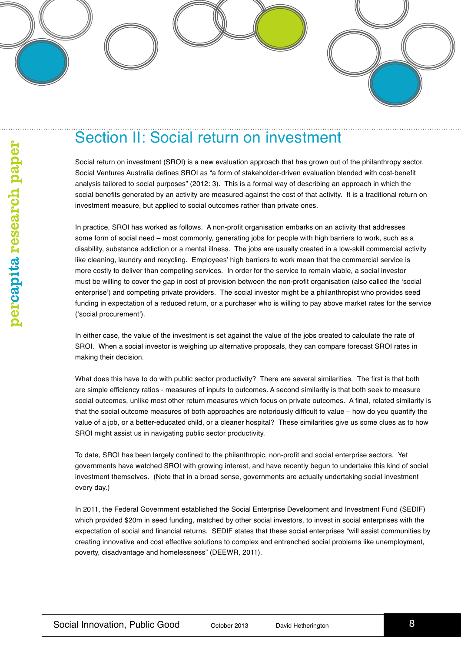#### Section II: Social return on investment

Social return on investment (SROI) is a new evaluation approach that has grown out of the philanthropy sector. Social Ventures Australia defines SROI as "a form of stakeholder-driven evaluation blended with cost-benefit analysis tailored to social purposes" (2012: 3). This is a formal way of describing an approach in which the social benefits generated by an activity are measured against the cost of that activity. It is a traditional return on investment measure, but applied to social outcomes rather than private ones.

In practice, SROI has worked as follows. A non-profit organisation embarks on an activity that addresses some form of social need – most commonly, generating jobs for people with high barriers to work, such as a disability, substance addiction or a mental illness. The jobs are usually created in a low-skill commercial activity like cleaning, laundry and recycling. Employees' high barriers to work mean that the commercial service is more costly to deliver than competing services. In order for the service to remain viable, a social investor must be willing to cover the gap in cost of provision between the non-profit organisation (also called the 'social enterprise') and competing private providers. The social investor might be a philanthropist who provides seed funding in expectation of a reduced return, or a purchaser who is willing to pay above market rates for the service ('social procurement').

In either case, the value of the investment is set against the value of the jobs created to calculate the rate of SROI. When a social investor is weighing up alternative proposals, they can compare forecast SROI rates in making their decision.

What does this have to do with public sector productivity? There are several similarities. The first is that both are simple efficiency ratios - measures of inputs to outcomes. A second similarity is that both seek to measure social outcomes, unlike most other return measures which focus on private outcomes. A final, related similarity is that the social outcome measures of both approaches are notoriously difficult to value – how do you quantify the value of a job, or a better-educated child, or a cleaner hospital? These similarities give us some clues as to how SROI might assist us in navigating public sector productivity.

To date, SROI has been largely confined to the philanthropic, non-profit and social enterprise sectors. Yet governments have watched SROI with growing interest, and have recently begun to undertake this kind of social investment themselves. (Note that in a broad sense, governments are actually undertaking social investment every day.)

In 2011, the Federal Government established the Social Enterprise Development and Investment Fund (SEDIF) which provided \$20m in seed funding, matched by other social investors, to invest in social enterprises with the expectation of social and financial returns. SEDIF states that these social enterprises "will assist communities by creating innovative and cost effective solutions to complex and entrenched social problems like unemployment, poverty, disadvantage and homelessness" (DEEWR, 2011).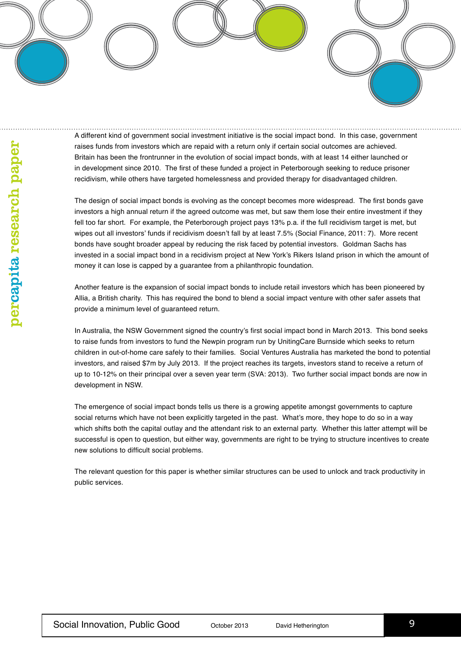A different kind of government social investment initiative is the social impact bond. In this case, government raises funds from investors which are repaid with a return only if certain social outcomes are achieved. Britain has been the frontrunner in the evolution of social impact bonds, with at least 14 either launched or in development since 2010. The first of these funded a project in Peterborough seeking to reduce prisoner recidivism, while others have targeted homelessness and provided therapy for disadvantaged children.

The design of social impact bonds is evolving as the concept becomes more widespread. The first bonds gave investors a high annual return if the agreed outcome was met, but saw them lose their entire investment if they fell too far short. For example, the Peterborough project pays 13% p.a. if the full recidivism target is met, but wipes out all investors' funds if recidivism doesn't fall by at least 7.5% (Social Finance, 2011: 7). More recent bonds have sought broader appeal by reducing the risk faced by potential investors. Goldman Sachs has invested in a social impact bond in a recidivism project at New York's Rikers Island prison in which the amount of money it can lose is capped by a guarantee from a philanthropic foundation.

Another feature is the expansion of social impact bonds to include retail investors which has been pioneered by Allia, a British charity. This has required the bond to blend a social impact venture with other safer assets that provide a minimum level of guaranteed return.

In Australia, the NSW Government signed the country's first social impact bond in March 2013. This bond seeks to raise funds from investors to fund the Newpin program run by UnitingCare Burnside which seeks to return children in out-of-home care safely to their families. Social Ventures Australia has marketed the bond to potential investors, and raised \$7m by July 2013. If the project reaches its targets, investors stand to receive a return of up to 10-12% on their principal over a seven year term (SVA: 2013). Two further social impact bonds are now in development in NSW.

The emergence of social impact bonds tells us there is a growing appetite amongst governments to capture social returns which have not been explicitly targeted in the past. What's more, they hope to do so in a way which shifts both the capital outlay and the attendant risk to an external party. Whether this latter attempt will be successful is open to question, but either way, governments are right to be trying to structure incentives to create new solutions to difficult social problems.

The relevant question for this paper is whether similar structures can be used to unlock and track productivity in public services.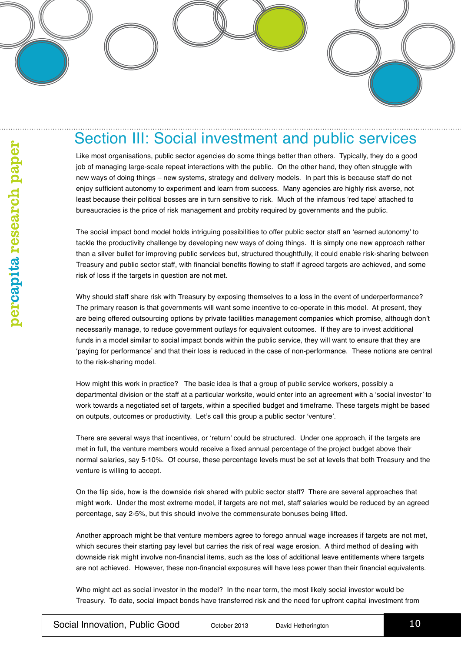#### Section III: Social investment and public services

Like most organisations, public sector agencies do some things better than others. Typically, they do a good job of managing large-scale repeat interactions with the public. On the other hand, they often struggle with new ways of doing things – new systems, strategy and delivery models. In part this is because staff do not enjoy sufficient autonomy to experiment and learn from success. Many agencies are highly risk averse, not least because their political bosses are in turn sensitive to risk. Much of the infamous 'red tape' attached to bureaucracies is the price of risk management and probity required by governments and the public.

The social impact bond model holds intriguing possibilities to offer public sector staff an 'earned autonomy' to tackle the productivity challenge by developing new ways of doing things. It is simply one new approach rather than a silver bullet for improving public services but, structured thoughtfully, it could enable risk-sharing between Treasury and public sector staff, with financial benefits flowing to staff if agreed targets are achieved, and some risk of loss if the targets in question are not met.

Why should staff share risk with Treasury by exposing themselves to a loss in the event of underperformance? The primary reason is that governments will want some incentive to co-operate in this model. At present, they are being offered outsourcing options by private facilities management companies which promise, although don't necessarily manage, to reduce government outlays for equivalent outcomes. If they are to invest additional funds in a model similar to social impact bonds within the public service, they will want to ensure that they are 'paying for performance' and that their loss is reduced in the case of non-performance. These notions are central to the risk-sharing model.

How might this work in practice? The basic idea is that a group of public service workers, possibly a departmental division or the staff at a particular worksite, would enter into an agreement with a 'social investor' to work towards a negotiated set of targets, within a specified budget and timeframe. These targets might be based on outputs, outcomes or productivity. Let's call this group a public sector 'venture'.

There are several ways that incentives, or 'return' could be structured. Under one approach, if the targets are met in full, the venture members would receive a fixed annual percentage of the project budget above their normal salaries, say 5-10%. Of course, these percentage levels must be set at levels that both Treasury and the venture is willing to accept.

On the flip side, how is the downside risk shared with public sector staff? There are several approaches that might work. Under the most extreme model, if targets are not met, staff salaries would be reduced by an agreed percentage, say 2-5%, but this should involve the commensurate bonuses being lifted.

Another approach might be that venture members agree to forego annual wage increases if targets are not met, which secures their starting pay level but carries the risk of real wage erosion. A third method of dealing with downside risk might involve non-financial items, such as the loss of additional leave entitlements where targets are not achieved. However, these non-financial exposures will have less power than their financial equivalents.

Who might act as social investor in the model? In the near term, the most likely social investor would be Treasury. To date, social impact bonds have transferred risk and the need for upfront capital investment from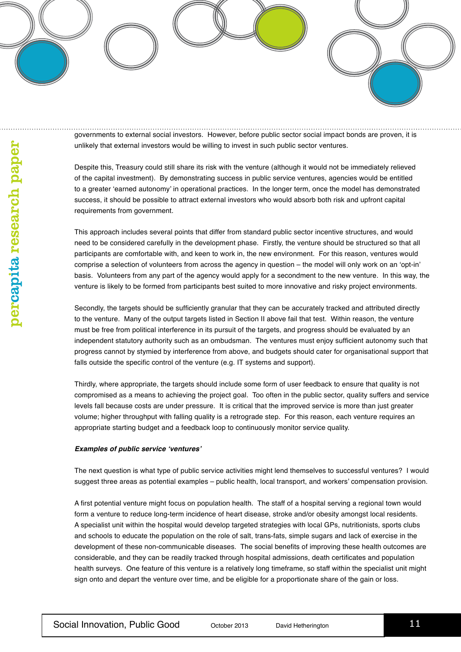governments to external social investors. However, before public sector social impact bonds are proven, it is unlikely that external investors would be willing to invest in such public sector ventures.

Despite this, Treasury could still share its risk with the venture (although it would not be immediately relieved of the capital investment). By demonstrating success in public service ventures, agencies would be entitled to a greater 'earned autonomy' in operational practices. In the longer term, once the model has demonstrated success, it should be possible to attract external investors who would absorb both risk and upfront capital requirements from government.

This approach includes several points that differ from standard public sector incentive structures, and would need to be considered carefully in the development phase. Firstly, the venture should be structured so that all participants are comfortable with, and keen to work in, the new environment. For this reason, ventures would comprise a selection of volunteers from across the agency in question – the model will only work on an 'opt-in' basis. Volunteers from any part of the agency would apply for a secondment to the new venture. In this way, the venture is likely to be formed from participants best suited to more innovative and risky project environments.

Secondly, the targets should be sufficiently granular that they can be accurately tracked and attributed directly to the venture. Many of the output targets listed in Section II above fail that test. Within reason, the venture must be free from political interference in its pursuit of the targets, and progress should be evaluated by an independent statutory authority such as an ombudsman. The ventures must enjoy sufficient autonomy such that progress cannot by stymied by interference from above, and budgets should cater for organisational support that falls outside the specific control of the venture (e.g. IT systems and support).

Thirdly, where appropriate, the targets should include some form of user feedback to ensure that quality is not compromised as a means to achieving the project goal. Too often in the public sector, quality suffers and service levels fall because costs are under pressure. It is critical that the improved service is more than just greater volume; higher throughput with falling quality is a retrograde step. For this reason, each venture requires an appropriate starting budget and a feedback loop to continuously monitor service quality.

#### **Examples of public service 'ventures'**

The next question is what type of public service activities might lend themselves to successful ventures? I would suggest three areas as potential examples – public health, local transport, and workers' compensation provision.

A first potential venture might focus on population health. The staff of a hospital serving a regional town would form a venture to reduce long-term incidence of heart disease, stroke and/or obesity amongst local residents. A specialist unit within the hospital would develop targeted strategies with local GPs, nutritionists, sports clubs and schools to educate the population on the role of salt, trans-fats, simple sugars and lack of exercise in the development of these non-communicable diseases. The social benefits of improving these health outcomes are considerable, and they can be readily tracked through hospital admissions, death certificates and population health surveys. One feature of this venture is a relatively long timeframe, so staff within the specialist unit might sign onto and depart the venture over time, and be eligible for a proportionate share of the gain or loss.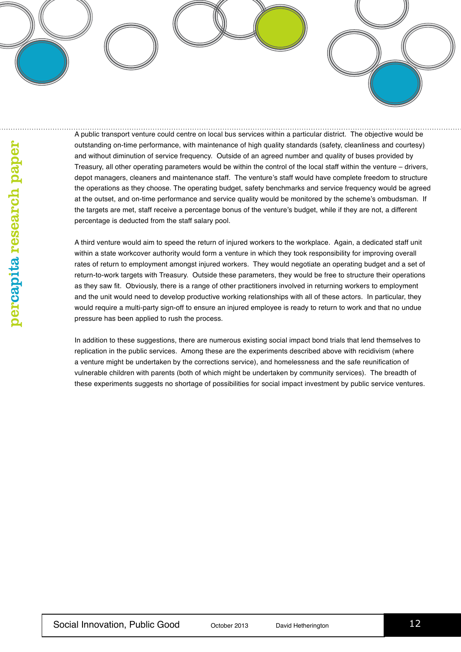A public transport venture could centre on local bus services within a particular district. The objective would be outstanding on-time performance, with maintenance of high quality standards (safety, cleanliness and courtesy) and without diminution of service frequency. Outside of an agreed number and quality of buses provided by Treasury, all other operating parameters would be within the control of the local staff within the venture – drivers, depot managers, cleaners and maintenance staff. The venture's staff would have complete freedom to structure the operations as they choose. The operating budget, safety benchmarks and service frequency would be agreed at the outset, and on-time performance and service quality would be monitored by the scheme's ombudsman. If the targets are met, staff receive a percentage bonus of the venture's budget, while if they are not, a different percentage is deducted from the staff salary pool.

A third venture would aim to speed the return of injured workers to the workplace. Again, a dedicated staff unit within a state workcover authority would form a venture in which they took responsibility for improving overall rates of return to employment amongst injured workers. They would negotiate an operating budget and a set of return-to-work targets with Treasury. Outside these parameters, they would be free to structure their operations as they saw fit. Obviously, there is a range of other practitioners involved in returning workers to employment and the unit would need to develop productive working relationships with all of these actors. In particular, they would require a multi-party sign-off to ensure an injured employee is ready to return to work and that no undue pressure has been applied to rush the process.

In addition to these suggestions, there are numerous existing social impact bond trials that lend themselves to replication in the public services. Among these are the experiments described above with recidivism (where a venture might be undertaken by the corrections service), and homelessness and the safe reunification of vulnerable children with parents (both of which might be undertaken by community services). The breadth of these experiments suggests no shortage of possibilities for social impact investment by public service ventures.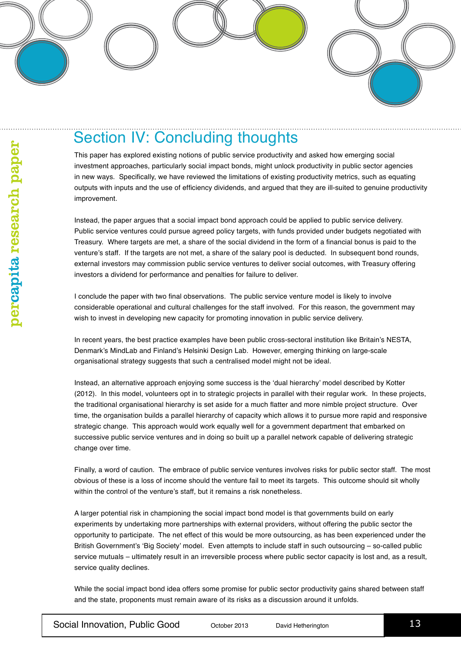#### Section IV: Concluding thoughts

This paper has explored existing notions of public service productivity and asked how emerging social investment approaches, particularly social impact bonds, might unlock productivity in public sector agencies in new ways. Specifically, we have reviewed the limitations of existing productivity metrics, such as equating outputs with inputs and the use of efficiency dividends, and argued that they are ill-suited to genuine productivity improvement.

Instead, the paper argues that a social impact bond approach could be applied to public service delivery. Public service ventures could pursue agreed policy targets, with funds provided under budgets negotiated with Treasury. Where targets are met, a share of the social dividend in the form of a financial bonus is paid to the venture's staff. If the targets are not met, a share of the salary pool is deducted. In subsequent bond rounds, external investors may commission public service ventures to deliver social outcomes, with Treasury offering investors a dividend for performance and penalties for failure to deliver.

I conclude the paper with two final observations. The public service venture model is likely to involve considerable operational and cultural challenges for the staff involved. For this reason, the government may wish to invest in developing new capacity for promoting innovation in public service delivery.

In recent years, the best practice examples have been public cross-sectoral institution like Britain's NESTA, Denmark's MindLab and Finland's Helsinki Design Lab. However, emerging thinking on large-scale organisational strategy suggests that such a centralised model might not be ideal.

Instead, an alternative approach enjoying some success is the 'dual hierarchy' model described by Kotter (2012). In this model, volunteers opt in to strategic projects in parallel with their regular work. In these projects, the traditional organisational hierarchy is set aside for a much flatter and more nimble project structure. Over time, the organisation builds a parallel hierarchy of capacity which allows it to pursue more rapid and responsive strategic change. This approach would work equally well for a government department that embarked on successive public service ventures and in doing so built up a parallel network capable of delivering strategic change over time.

Finally, a word of caution. The embrace of public service ventures involves risks for public sector staff. The most obvious of these is a loss of income should the venture fail to meet its targets. This outcome should sit wholly within the control of the venture's staff, but it remains a risk nonetheless.

A larger potential risk in championing the social impact bond model is that governments build on early experiments by undertaking more partnerships with external providers, without offering the public sector the opportunity to participate. The net effect of this would be more outsourcing, as has been experienced under the British Government's 'Big Society' model. Even attempts to include staff in such outsourcing – so-called public service mutuals – ultimately result in an irreversible process where public sector capacity is lost and, as a result, service quality declines.

While the social impact bond idea offers some promise for public sector productivity gains shared between staff and the state, proponents must remain aware of its risks as a discussion around it unfolds.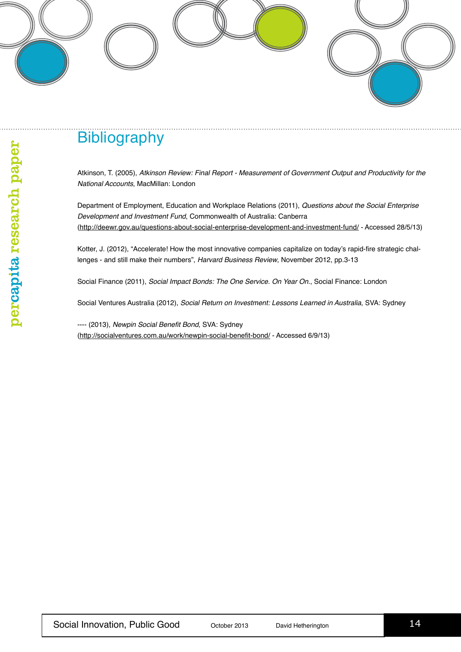### **Bibliography**

Atkinson, T. (2005), *Atkinson Review: Final Report - Measurement of Government Output and Productivity for the National Accounts*, MacMillan: London

Department of Employment, Education and Workplace Relations (2011), *Questions about the Social Enterprise Development and Investment Fund*, Commonwealth of Australia: Canberra (http://deewr.gov.au/questions-about-social-enterprise-development-and-investment-fund/ - Accessed 28/5/13)

Kotter, J. (2012), "Accelerate! How the most innovative companies capitalize on today's rapid-fire strategic challenges - and still make their numbers", *Harvard Business Review*, November 2012, pp.3-13

Social Finance (2011), *Social Impact Bonds: The One Service. On Year On.*, Social Finance: London

Social Ventures Australia (2012), *Social Return on Investment: Lessons Learned in Australia*, SVA: Sydney

---- (2013), Newpin Social Benefit Bond, SVA: Sydney (http://socialventures.com.au/work/newpin-social-benefit-bond/ - Accessed 6/9/13)